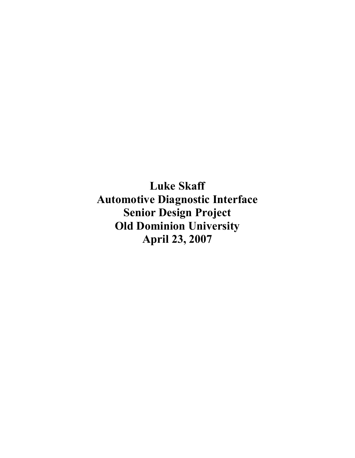**Luke Skaff Automotive Diagnostic Interface Senior Design Project Old Dominion University April 23, 2007**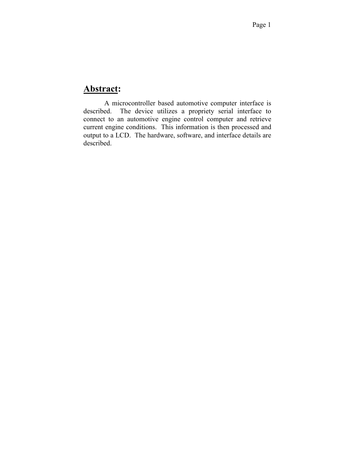# **Abstract:**

A microcontroller based automotive computer interface is described. The device utilizes a propriety serial interface to The device utilizes a propriety serial interface to connect to an automotive engine control computer and retrieve current engine conditions. This information is then processed and output to a LCD. The hardware, software, and interface details are described.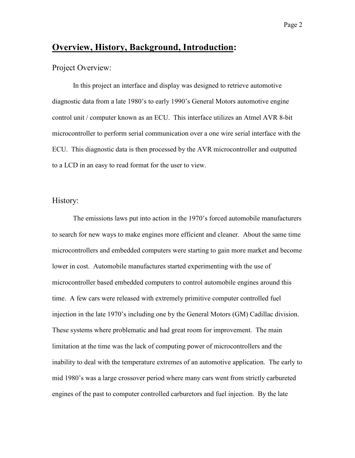# **Overview, History, Background, Introduction:**

## Project Overview:

In this project an interface and display was designed to retrieve automotive diagnostic data from a late 1980's to early 1990's General Motors automotive engine control unit / computer known as an ECU. This interface utilizes an Atmel AVR 8-bit microcontroller to perform serial communication over a one wire serial interface with the ECU. This diagnostic data is then processed by the AVR microcontroller and outputted to a LCD in an easy to read format for the user to view.

## History:

The emissions laws put into action in the 1970's forced automobile manufacturers to search for new ways to make engines more efficient and cleaner. About the same time microcontrollers and embedded computers were starting to gain more market and become lower in cost. Automobile manufactures started experimenting with the use of microcontroller based embedded computers to control automobile engines around this time. A few cars were released with extremely primitive computer controlled fuel injection in the late 1970's including one by the General Motors (GM) Cadillac division. These systems where problematic and had great room for improvement. The main limitation at the time was the lack of computing power of microcontrollers and the inability to deal with the temperature extremes of an automotive application. The early to mid 1980's was a large crossover period where many cars went from strictly carbureted engines of the past to computer controlled carburetors and fuel injection. By the late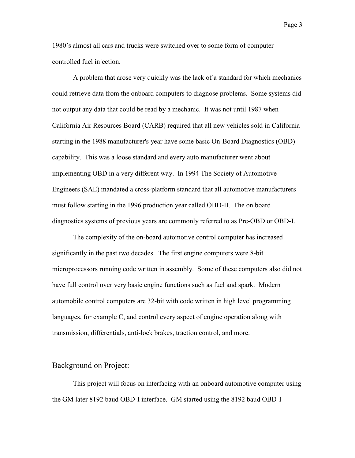1980's almost all cars and trucks were switched over to some form of computer controlled fuel injection.

A problem that arose very quickly was the lack of a standard for which mechanics could retrieve data from the onboard computers to diagnose problems. Some systems did not output any data that could be read by a mechanic. It was not until 1987 when California Air Resources Board (CARB) required that all new vehicles sold in California starting in the 1988 manufacturer's year have some basic On-Board Diagnostics (OBD) capability. This was a loose standard and every auto manufacturer went about implementing OBD in a very different way. In 1994 The Society of Automotive Engineers (SAE) mandated a cross-platform standard that all automotive manufacturers must follow starting in the 1996 production year called OBD-II. The on board diagnostics systems of previous years are commonly referred to as Pre-OBD or OBD-I.

The complexity of the on-board automotive control computer has increased significantly in the past two decades. The first engine computers were 8-bit microprocessors running code written in assembly. Some of these computers also did not have full control over very basic engine functions such as fuel and spark. Modern automobile control computers are 32-bit with code written in high level programming languages, for example C, and control every aspect of engine operation along with transmission, differentials, anti-lock brakes, traction control, and more.

## Background on Project:

This project will focus on interfacing with an onboard automotive computer using the GM later 8192 baud OBD-I interface. GM started using the 8192 baud OBD-I

Page 3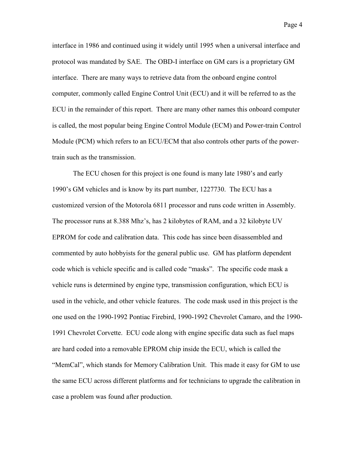interface in 1986 and continued using it widely until 1995 when a universal interface and protocol was mandated by SAE. The OBD-I interface on GM cars is a proprietary GM interface. There are many ways to retrieve data from the onboard engine control computer, commonly called Engine Control Unit (ECU) and it will be referred to as the ECU in the remainder of this report. There are many other names this onboard computer is called, the most popular being Engine Control Module (ECM) and Power-train Control Module (PCM) which refers to an ECU/ECM that also controls other parts of the powertrain such as the transmission.

The ECU chosen for this project is one found is many late 1980's and early 1990's GM vehicles and is know by its part number, 1227730. The ECU has a customized version of the Motorola 6811 processor and runs code written in Assembly. The processor runs at 8.388 Mhz's, has 2 kilobytes of RAM, and a 32 kilobyte UV EPROM for code and calibration data. This code has since been disassembled and commented by auto hobbyists for the general public use. GM has platform dependent code which is vehicle specific and is called code "masks". The specific code mask a vehicle runs is determined by engine type, transmission configuration, which ECU is used in the vehicle, and other vehicle features. The code mask used in this project is the one used on the 1990-1992 Pontiac Firebird, 1990-1992 Chevrolet Camaro, and the 1990- 1991 Chevrolet Corvette. ECU code along with engine specific data such as fuel maps are hard coded into a removable EPROM chip inside the ECU, which is called the "MemCal", which stands for Memory Calibration Unit. This made it easy for GM to use the same ECU across different platforms and for technicians to upgrade the calibration in case a problem was found after production.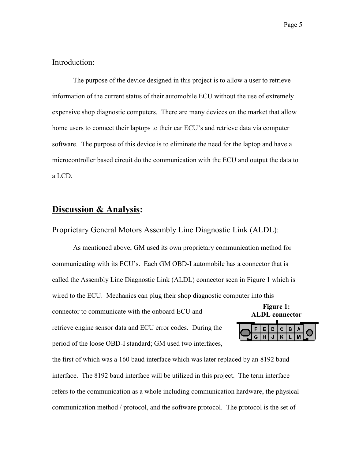Introduction:

The purpose of the device designed in this project is to allow a user to retrieve information of the current status of their automobile ECU without the use of extremely expensive shop diagnostic computers. There are many devices on the market that allow home users to connect their laptops to their car ECU's and retrieve data via computer software. The purpose of this device is to eliminate the need for the laptop and have a microcontroller based circuit do the communication with the ECU and output the data to a LCD.

# **Discussion & Analysis:**

Proprietary General Motors Assembly Line Diagnostic Link (ALDL):

**Figure 1: ALDL connector**  As mentioned above, GM used its own proprietary communication method for communicating with its ECU's. Each GM OBD-I automobile has a connector that is called the Assembly Line Diagnostic Link (ALDL) connector seen in Figure 1 which is wired to the ECU. Mechanics can plug their shop diagnostic computer into this connector to communicate with the onboard ECU and retrieve engine sensor data and ECU error codes. During the period of the loose OBD-I standard; GM used two interfaces,

the first of which was a 160 baud interface which was later replaced by an 8192 baud interface. The 8192 baud interface will be utilized in this project. The term interface refers to the communication as a whole including communication hardware, the physical communication method / protocol, and the software protocol. The protocol is the set of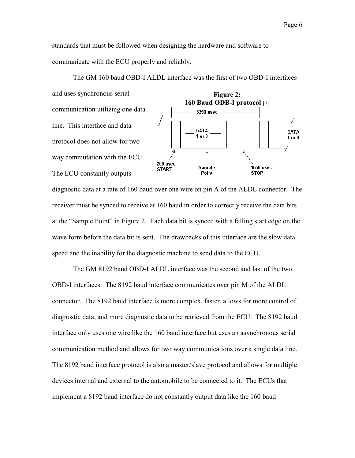standards that must be followed when designing the hardware and software to communicate with the ECU properly and reliably.



The GM 160 baud OBD-I ALDL interface was the first of two OBD-I interfaces

and uses synchronous serial communication utilizing one data line. This interface and data DATA  $1$  or  $0$ protocol does not allow for two

diagnostic data at a rate of 160 baud over one wire on pin A of the ALDL connector. The receiver must be synced to receive at 160 baud in order to correctly receive the data bits at the "Sample Point" in Figure 2. Each data bit is synced with a falling start edge on the wave form before the data bit is sent. The drawbacks of this interface are the slow data speed and the inability for the diagnostic machine to send data to the ECU.

 The GM 8192 baud OBD-I ALDL interface was the second and last of the two OBD-I interfaces. The 8192 baud interface communicates over pin M of the ALDL connector. The 8192 baud interface is more complex, faster, allows for more control of diagnostic data, and more diagnostic data to be retrieved from the ECU. The 8192 baud interface only uses one wire like the 160 baud interface but uses an asynchronous serial communication method and allows for two way communications over a single data line. The 8192 baud interface protocol is also a master/slave protocol and allows for multiple devices internal and external to the automobile to be connected to it. The ECUs that implement a 8192 baud interface do not constantly output data like the 160 baud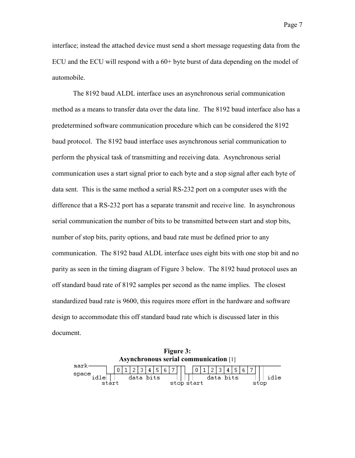interface; instead the attached device must send a short message requesting data from the ECU and the ECU will respond with a 60+ byte burst of data depending on the model of automobile.

 The 8192 baud ALDL interface uses an asynchronous serial communication method as a means to transfer data over the data line. The 8192 baud interface also has a predetermined software communication procedure which can be considered the 8192 baud protocol. The 8192 baud interface uses asynchronous serial communication to perform the physical task of transmitting and receiving data. Asynchronous serial communication uses a start signal prior to each byte and a stop signal after each byte of data sent. This is the same method a serial RS-232 port on a computer uses with the difference that a RS-232 port has a separate transmit and receive line. In asynchronous serial communication the number of bits to be transmitted between start and stop bits, number of stop bits, parity options, and baud rate must be defined prior to any communication. The 8192 baud ALDL interface uses eight bits with one stop bit and no parity as seen in the timing diagram of Figure 3 below. The 8192 baud protocol uses an off standard baud rate of 8192 samples per second as the name implies. The closest standardized baud rate is 9600, this requires more effort in the hardware and software design to accommodate this off standard baud rate which is discussed later in this document.

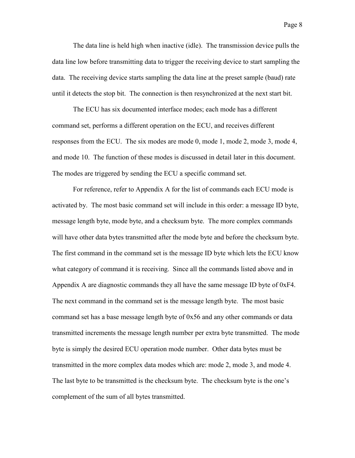The data line is held high when inactive (idle). The transmission device pulls the data line low before transmitting data to trigger the receiving device to start sampling the data. The receiving device starts sampling the data line at the preset sample (baud) rate until it detects the stop bit. The connection is then resynchronized at the next start bit.

The ECU has six documented interface modes; each mode has a different command set, performs a different operation on the ECU, and receives different responses from the ECU. The six modes are mode 0, mode 1, mode 2, mode 3, mode 4, and mode 10. The function of these modes is discussed in detail later in this document. The modes are triggered by sending the ECU a specific command set.

For reference, refer to Appendix A for the list of commands each ECU mode is activated by. The most basic command set will include in this order: a message ID byte, message length byte, mode byte, and a checksum byte. The more complex commands will have other data bytes transmitted after the mode byte and before the checksum byte. The first command in the command set is the message ID byte which lets the ECU know what category of command it is receiving. Since all the commands listed above and in Appendix A are diagnostic commands they all have the same message ID byte of 0xF4. The next command in the command set is the message length byte. The most basic command set has a base message length byte of 0x56 and any other commands or data transmitted increments the message length number per extra byte transmitted. The mode byte is simply the desired ECU operation mode number. Other data bytes must be transmitted in the more complex data modes which are: mode 2, mode 3, and mode 4. The last byte to be transmitted is the checksum byte. The checksum byte is the one's complement of the sum of all bytes transmitted.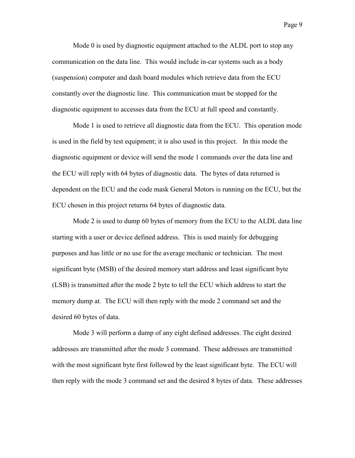Mode 0 is used by diagnostic equipment attached to the ALDL port to stop any communication on the data line. This would include in-car systems such as a body (suspension) computer and dash board modules which retrieve data from the ECU constantly over the diagnostic line. This communication must be stopped for the diagnostic equipment to accesses data from the ECU at full speed and constantly.

Mode 1 is used to retrieve all diagnostic data from the ECU. This operation mode is used in the field by test equipment; it is also used in this project. In this mode the diagnostic equipment or device will send the mode 1 commands over the data line and the ECU will reply with 64 bytes of diagnostic data. The bytes of data returned is dependent on the ECU and the code mask General Motors is running on the ECU, but the ECU chosen in this project returns 64 bytes of diagnostic data.

Mode 2 is used to dump 60 bytes of memory from the ECU to the ALDL data line starting with a user or device defined address. This is used mainly for debugging purposes and has little or no use for the average mechanic or technician. The most significant byte (MSB) of the desired memory start address and least significant byte (LSB) is transmitted after the mode 2 byte to tell the ECU which address to start the memory dump at. The ECU will then reply with the mode 2 command set and the desired 60 bytes of data.

Mode 3 will perform a dump of any eight defined addresses. The eight desired addresses are transmitted after the mode 3 command. These addresses are transmitted with the most significant byte first followed by the least significant byte. The ECU will then reply with the mode 3 command set and the desired 8 bytes of data. These addresses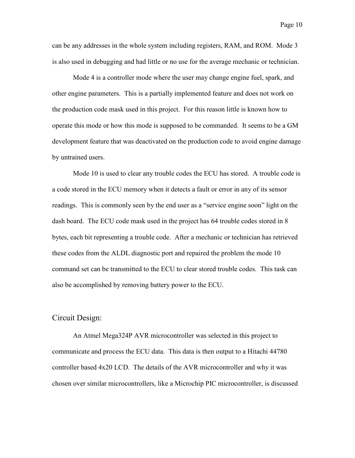can be any addresses in the whole system including registers, RAM, and ROM. Mode 3 is also used in debugging and had little or no use for the average mechanic or technician.

Mode 4 is a controller mode where the user may change engine fuel, spark, and other engine parameters. This is a partially implemented feature and does not work on the production code mask used in this project. For this reason little is known how to operate this mode or how this mode is supposed to be commanded. It seems to be a GM development feature that was deactivated on the production code to avoid engine damage by untrained users.

Mode 10 is used to clear any trouble codes the ECU has stored. A trouble code is a code stored in the ECU memory when it detects a fault or error in any of its sensor readings. This is commonly seen by the end user as a "service engine soon" light on the dash board. The ECU code mask used in the project has 64 trouble codes stored in 8 bytes, each bit representing a trouble code. After a mechanic or technician has retrieved these codes from the ALDL diagnostic port and repaired the problem the mode 10 command set can be transmitted to the ECU to clear stored trouble codes. This task can also be accomplished by removing battery power to the ECU.

# Circuit Design:

An Atmel Mega324P AVR microcontroller was selected in this project to communicate and process the ECU data. This data is then output to a Hitachi 44780 controller based 4x20 LCD. The details of the AVR microcontroller and why it was chosen over similar microcontrollers, like a Microchip PIC microcontroller, is discussed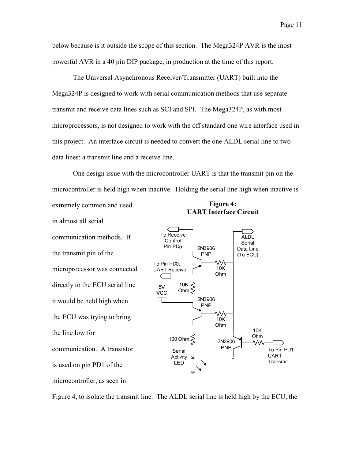below because is it outside the scope of this section. The Mega324P AVR is the most powerful AVR in a 40 pin DIP package, in production at the time of this report.

The Universal Asynchronous Receiver/Transmitter (UART) built into the Mega324P is designed to work with serial communication methods that use separate transmit and receive data lines such as SCI and SPI. The Mega324P, as with most microprocessors, is not designed to work with the off standard one wire interface used in this project. An interface circuit is needed to convert the one ALDL serial line to two data lines: a transmit line and a receive line.

**Figure 4:**  One design issue with the microcontroller UART is that the transmit pin on the microcontroller is held high when inactive. Holding the serial line high when inactive is extremely common and used

in almost all serial

communication methods. If the transmit pin of the microprocessor was connected directly to the ECU serial line it would be held high when the ECU was trying to bring the line low for communication. A transistor is used on pin PD1 of the microcontroller, as seen in





Figure 4, to isolate the transmit line. The ALDL serial line is held high by the ECU, the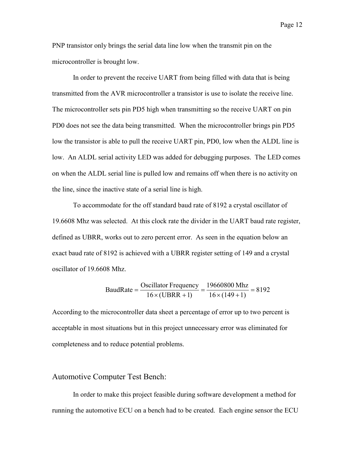PNP transistor only brings the serial data line low when the transmit pin on the microcontroller is brought low.

In order to prevent the receive UART from being filled with data that is being transmitted from the AVR microcontroller a transistor is use to isolate the receive line. The microcontroller sets pin PD5 high when transmitting so the receive UART on pin PD0 does not see the data being transmitted. When the microcontroller brings pin PD5 low the transistor is able to pull the receive UART pin, PD0, low when the ALDL line is low. An ALDL serial activity LED was added for debugging purposes. The LED comes on when the ALDL serial line is pulled low and remains off when there is no activity on the line, since the inactive state of a serial line is high.

To accommodate for the off standard baud rate of 8192 a crystal oscillator of 19.6608 Mhz was selected. At this clock rate the divider in the UART baud rate register, defined as UBRR, works out to zero percent error. As seen in the equation below an exact baud rate of 8192 is achieved with a UBRR register setting of 149 and a crystal oscillator of 19.6608 Mhz.

BaudRate = 
$$
\frac{\text{Oscillator Frequency}}{16 \times (\text{UBRR} + 1)} = \frac{19660800 \text{ Mhz}}{16 \times (149 + 1)} = 8192
$$

According to the microcontroller data sheet a percentage of error up to two percent is acceptable in most situations but in this project unnecessary error was eliminated for completeness and to reduce potential problems.

# Automotive Computer Test Bench:

In order to make this project feasible during software development a method for running the automotive ECU on a bench had to be created. Each engine sensor the ECU

Page 12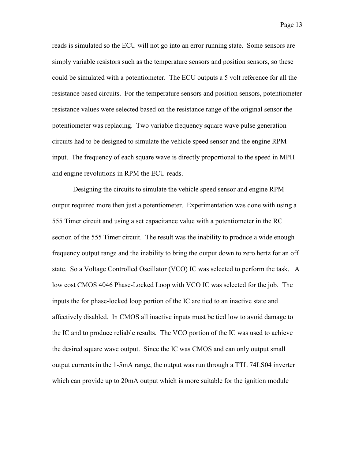reads is simulated so the ECU will not go into an error running state. Some sensors are simply variable resistors such as the temperature sensors and position sensors, so these could be simulated with a potentiometer. The ECU outputs a 5 volt reference for all the resistance based circuits. For the temperature sensors and position sensors, potentiometer resistance values were selected based on the resistance range of the original sensor the potentiometer was replacing. Two variable frequency square wave pulse generation circuits had to be designed to simulate the vehicle speed sensor and the engine RPM input. The frequency of each square wave is directly proportional to the speed in MPH and engine revolutions in RPM the ECU reads.

 Designing the circuits to simulate the vehicle speed sensor and engine RPM output required more then just a potentiometer. Experimentation was done with using a 555 Timer circuit and using a set capacitance value with a potentiometer in the RC section of the 555 Timer circuit. The result was the inability to produce a wide enough frequency output range and the inability to bring the output down to zero hertz for an off state. So a Voltage Controlled Oscillator (VCO) IC was selected to perform the task. A low cost CMOS 4046 Phase-Locked Loop with VCO IC was selected for the job. The inputs the for phase-locked loop portion of the IC are tied to an inactive state and affectively disabled. In CMOS all inactive inputs must be tied low to avoid damage to the IC and to produce reliable results. The VCO portion of the IC was used to achieve the desired square wave output. Since the IC was CMOS and can only output small output currents in the 1-5mA range, the output was run through a TTL 74LS04 inverter which can provide up to 20mA output which is more suitable for the ignition module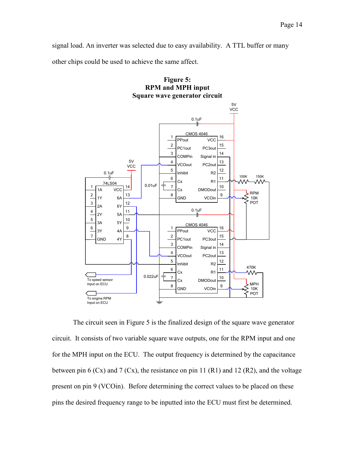signal load. An inverter was selected due to easy availability. A TTL buffer or many other chips could be used to achieve the same affect.





The circuit seen in Figure 5 is the finalized design of the square wave generator circuit. It consists of two variable square wave outputs, one for the RPM input and one for the MPH input on the ECU. The output frequency is determined by the capacitance between pin 6 (Cx) and 7 (Cx), the resistance on pin 11 (R1) and 12 (R2), and the voltage present on pin 9 (VCOin). Before determining the correct values to be placed on these pins the desired frequency range to be inputted into the ECU must first be determined.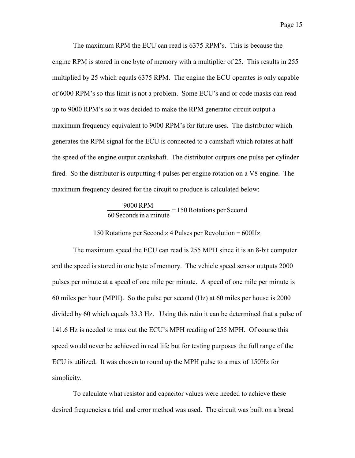The maximum RPM the ECU can read is 6375 RPM's. This is because the engine RPM is stored in one byte of memory with a multiplier of 25. This results in 255 multiplied by 25 which equals 6375 RPM. The engine the ECU operates is only capable of 6000 RPM's so this limit is not a problem. Some ECU's and or code masks can read up to 9000 RPM's so it was decided to make the RPM generator circuit output a maximum frequency equivalent to 9000 RPM's for future uses. The distributor which generates the RPM signal for the ECU is connected to a camshaft which rotates at half the speed of the engine output crankshaft. The distributor outputs one pulse per cylinder fired. So the distributor is outputting 4 pulses per engine rotation on a V8 engine. The maximum frequency desired for the circuit to produce is calculated below:

#### 150 Rotations per Second 60 Secondsin a minute  $\frac{9000 \text{ RPM}}{2}$  =

150 Rotations per Second  $\times$  4 Pulses per Revolution = 600Hz

 The maximum speed the ECU can read is 255 MPH since it is an 8-bit computer and the speed is stored in one byte of memory. The vehicle speed sensor outputs 2000 pulses per minute at a speed of one mile per minute. A speed of one mile per minute is 60 miles per hour (MPH). So the pulse per second (Hz) at 60 miles per house is 2000 divided by 60 which equals 33.3 Hz. Using this ratio it can be determined that a pulse of 141.6 Hz is needed to max out the ECU's MPH reading of 255 MPH. Of course this speed would never be achieved in real life but for testing purposes the full range of the ECU is utilized. It was chosen to round up the MPH pulse to a max of 150Hz for simplicity.

 To calculate what resistor and capacitor values were needed to achieve these desired frequencies a trial and error method was used. The circuit was built on a bread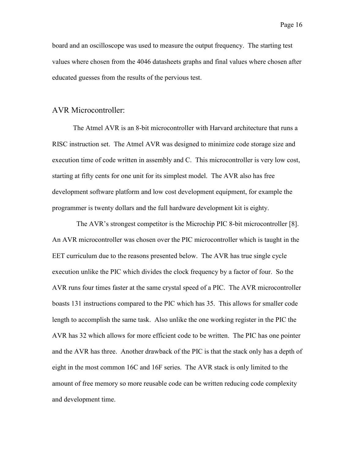board and an oscilloscope was used to measure the output frequency. The starting test values where chosen from the 4046 datasheets graphs and final values where chosen after educated guesses from the results of the pervious test.

## AVR Microcontroller:

The Atmel AVR is an 8-bit microcontroller with Harvard architecture that runs a RISC instruction set. The Atmel AVR was designed to minimize code storage size and execution time of code written in assembly and C. This microcontroller is very low cost, starting at fifty cents for one unit for its simplest model. The AVR also has free development software platform and low cost development equipment, for example the programmer is twenty dollars and the full hardware development kit is eighty.

 The AVR's strongest competitor is the Microchip PIC 8-bit microcontroller [8]. An AVR microcontroller was chosen over the PIC microcontroller which is taught in the EET curriculum due to the reasons presented below. The AVR has true single cycle execution unlike the PIC which divides the clock frequency by a factor of four. So the AVR runs four times faster at the same crystal speed of a PIC. The AVR microcontroller boasts 131 instructions compared to the PIC which has 35. This allows for smaller code length to accomplish the same task. Also unlike the one working register in the PIC the AVR has 32 which allows for more efficient code to be written. The PIC has one pointer and the AVR has three. Another drawback of the PIC is that the stack only has a depth of eight in the most common 16C and 16F series. The AVR stack is only limited to the amount of free memory so more reusable code can be written reducing code complexity and development time.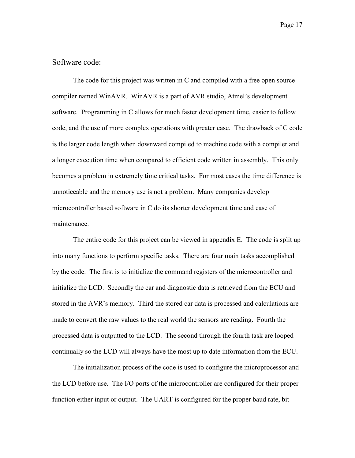# Software code:

The code for this project was written in C and compiled with a free open source compiler named WinAVR. WinAVR is a part of AVR studio, Atmel's development software. Programming in C allows for much faster development time, easier to follow code, and the use of more complex operations with greater ease. The drawback of C code is the larger code length when downward compiled to machine code with a compiler and a longer execution time when compared to efficient code written in assembly. This only becomes a problem in extremely time critical tasks. For most cases the time difference is unnoticeable and the memory use is not a problem. Many companies develop microcontroller based software in C do its shorter development time and ease of maintenance.

The entire code for this project can be viewed in appendix E. The code is split up into many functions to perform specific tasks. There are four main tasks accomplished by the code. The first is to initialize the command registers of the microcontroller and initialize the LCD. Secondly the car and diagnostic data is retrieved from the ECU and stored in the AVR's memory. Third the stored car data is processed and calculations are made to convert the raw values to the real world the sensors are reading. Fourth the processed data is outputted to the LCD. The second through the fourth task are looped continually so the LCD will always have the most up to date information from the ECU.

The initialization process of the code is used to configure the microprocessor and the LCD before use. The I/O ports of the microcontroller are configured for their proper function either input or output. The UART is configured for the proper baud rate, bit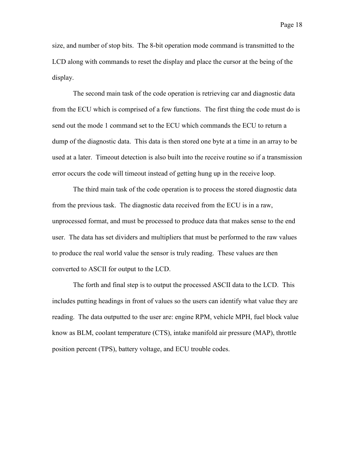size, and number of stop bits. The 8-bit operation mode command is transmitted to the LCD along with commands to reset the display and place the cursor at the being of the display.

The second main task of the code operation is retrieving car and diagnostic data from the ECU which is comprised of a few functions. The first thing the code must do is send out the mode 1 command set to the ECU which commands the ECU to return a dump of the diagnostic data. This data is then stored one byte at a time in an array to be used at a later. Timeout detection is also built into the receive routine so if a transmission error occurs the code will timeout instead of getting hung up in the receive loop.

The third main task of the code operation is to process the stored diagnostic data from the previous task. The diagnostic data received from the ECU is in a raw, unprocessed format, and must be processed to produce data that makes sense to the end user. The data has set dividers and multipliers that must be performed to the raw values to produce the real world value the sensor is truly reading. These values are then converted to ASCII for output to the LCD.

The forth and final step is to output the processed ASCII data to the LCD. This includes putting headings in front of values so the users can identify what value they are reading. The data outputted to the user are: engine RPM, vehicle MPH, fuel block value know as BLM, coolant temperature (CTS), intake manifold air pressure (MAP), throttle position percent (TPS), battery voltage, and ECU trouble codes.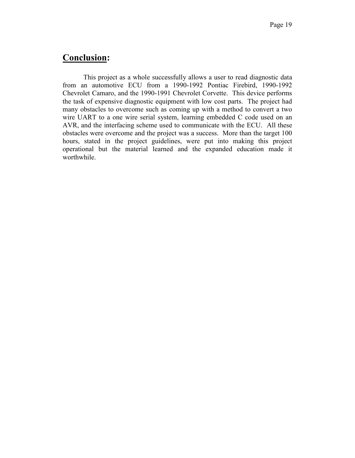# **Conclusion:**

This project as a whole successfully allows a user to read diagnostic data from an automotive ECU from a 1990-1992 Pontiac Firebird, 1990-1992 Chevrolet Camaro, and the 1990-1991 Chevrolet Corvette. This device performs the task of expensive diagnostic equipment with low cost parts. The project had many obstacles to overcome such as coming up with a method to convert a two wire UART to a one wire serial system, learning embedded C code used on an AVR, and the interfacing scheme used to communicate with the ECU. All these obstacles were overcome and the project was a success. More than the target 100 hours, stated in the project guidelines, were put into making this project operational but the material learned and the expanded education made it worthwhile.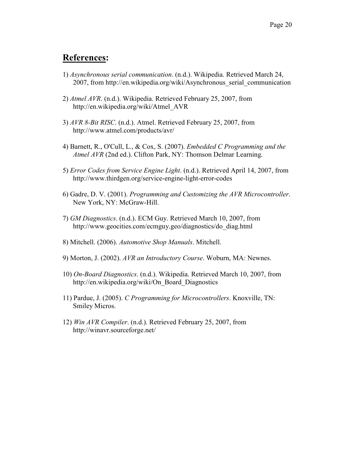# **References:**

- 1) *Asynchronous serial communication*. (n.d.). Wikipedia. Retrieved March 24, 2007, from http://en.wikipedia.org/wiki/Asynchronous\_serial\_communication
- 2) *Atmel AVR*. (n.d.). Wikipedia. Retrieved February 25, 2007, from http://en.wikipedia.org/wiki/Atmel\_AVR
- 3) *AVR 8-Bit RISC*. (n.d.). Atmel. Retrieved February 25, 2007, from http://www.atmel.com/products/avr/
- 4) Barnett, R., O'Cull, L., & Cox, S. (2007). *Embedded C Programming and the Atmel AVR* (2nd ed.). Clifton Park, NY: Thomson Delmar Learning.
- 5) *Error Codes from Service Engine Light*. (n.d.). Retrieved April 14, 2007, from http://www.thirdgen.org/service-engine-light-error-codes
- 6) Gadre, D. V. (2001). *Programming and Customizing the AVR Microcontroller*. New York, NY: McGraw-Hill.
- 7) *GM Diagnostics*. (n.d.). ECM Guy. Retrieved March 10, 2007, from http://www.geocities.com/ecmguy.geo/diagnostics/do\_diag.html
- 8) Mitchell. (2006). *Automotive Shop Manuals*. Mitchell.
- 9) Morton, J. (2002). *AVR an Introductory Course*. Woburn, MA: Newnes.
- 10) *On-Board Diagnostics*. (n.d.). Wikipedia. Retrieved March 10, 2007, from http://en.wikipedia.org/wiki/On\_Board\_Diagnostics
- 11) Pardue, J. (2005). *C Programming for Microcontrollers*. Knoxville, TN: Smiley Micros.
- 12) *Win AVR Compiler*. (n.d.). Retrieved February 25, 2007, from http://winavr.sourceforge.net/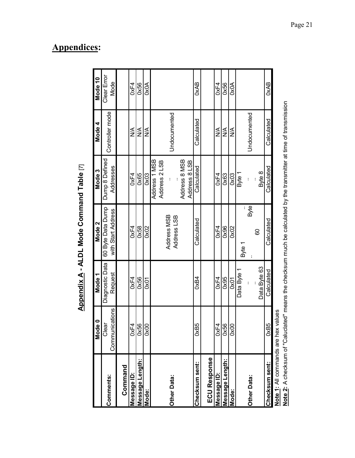| Ì |
|---|
|   |
|   |
|   |
| ì |
|   |
|   |
| j |
| I |
| Ċ |
|   |
|   |
|   |
|   |
|   |
|   |
|   |

|                                    | $\frac{1}{2}$<br>$\frac{6}{2}$ | Mode <sub>1</sub> | Mode 2                     | Mode 3         | Mode 4          | Mode 10     |
|------------------------------------|--------------------------------|-------------------|----------------------------|----------------|-----------------|-------------|
| Comments:                          | Clear                          | Diagnostic Data   | 60 Byte Data Dump          | Dump 8 Defined | Controller mode | Clear Error |
|                                    | Communications                 | Request           | with Start Address         | Addresses      |                 | Mode        |
| Command                            |                                |                   |                            |                |                 |             |
| Message ID:                        | Д<br>š                         | 0xF4              | 0xF4                       | 0xF4           | ⋚               | 0xF4        |
| Message Length:                    | 0x56                           | 0x56              | 0x58                       | 0x65           | ⋚               | 0x56        |
| Mode:                              | 0x00                           | 0x01              | 0x02                       | 0x03           | ⋚               | 0x0A        |
|                                    |                                |                   |                            | Address 1 MSB  |                 |             |
|                                    |                                |                   |                            | Address 2 LSB  |                 |             |
| <b>Other Data:</b>                 |                                |                   | Address MSB<br>Address LSB |                | Undocumented    |             |
|                                    |                                |                   |                            | Address 8 MSB  |                 |             |
|                                    |                                |                   |                            | Address 8 LSB  |                 |             |
| Checksum sent:                     | 85<br>š                        | <b>OxB4</b>       | Calculated                 | Calculated     | Calculated      | 0xAB        |
| <b>ECU Response</b>                |                                |                   |                            |                |                 |             |
|                                    |                                |                   |                            |                |                 |             |
| Message ID:                        | 0xF4                           | 0xF4              | 0xF4                       | 0xF4           | ∖<br>≥          | 0xF4        |
| Message Length:                    | 0x56                           | 0x95              | 0x96                       | 0x63           | $\frac{1}{2}$   | 0x56        |
| Mode:                              | 0x00                           | <b>DxO1</b>       | 0x02                       | 0x03           | ≸               | <b>OxOA</b> |
|                                    |                                | Data Byte 1       | Byte 1                     | Byte 1         |                 |             |
| <b>Other Data:</b>                 |                                |                   | Byte                       |                | Undocumented    |             |
|                                    |                                | Data Byte 63      | 80                         | Byte 8         |                 |             |
| Checksum sent:                     | 0xB5                           | Calculated        | Calculated                 | Calculated     | Calculated      | 0xAB        |
| Note 1: All commands are betwalles |                                |                   |                            |                |                 |             |

**Note 1:** All commands are hex values

**Note 1.** An commands are nex values<br>Note 2: A checksum of "Caluclated" means the checksum much be calculated by the transmitter at time of transmission **Note 2:** A checksum of "Caluclated" means the checksum much be calculated by the transmitter at time of transmission

# **Appendices :**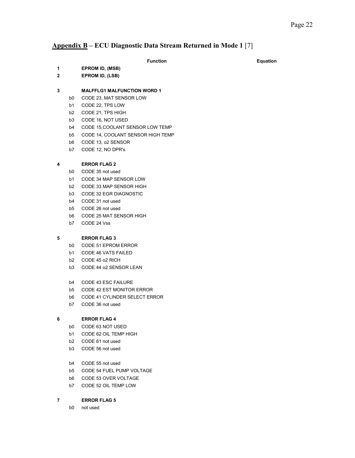## **Appendix B – ECU Diagnostic Data Stream Returned in Mode 1** [7]

### **Function Equation Equation**

**1 EPROM ID, (MSB)** 

**2 EPROM ID, (LSB)** 

### **3 MALFFLG1 MALFUNCTION WORD 1**

- b0 CODE 23, MAT SENSOR LOW
- b1 CODE 22, TPS LOW
- b2 CODE 21, TPS HIGH
- b3 CODE 16, NOT USED
- b4 CODE 15,COOLANT SENSOR LOW TEMP
- b5 CODE 14, COOLANT SENSOR HIGH TEMP
- b6 CODE 13, o2 SENSOR
- b7 CODE 12, NO DPR's

### **4 ERROR FLAG 2**

- b0 CODE 35 not used
- b1 CODE 34 MAP SENSOR LOW
- b2 CODE 33 MAP SENSOR HIGH
- b3 CODE 32 EGR DIAGNOSTIC
- b4 CODE 31 not used
- b5 CODE 26 not used
- b6 CODE 25 MAT SENSOR HIGH
- b7 CODE 24 Vss

#### **5 ERROR FLAG 3**

- b0 CODE 51 EPROM ERROR
- b1 CODE 46 VATS FAILED
- b2 CODE 45 o2 RICH
- b3 CODE 44 o2 SENSOR LEAN
- b4 CODE 43 ESC FAILURE
- b5 CODE 42 EST MONITOR ERROR
- b6 CODE 41 CYLINDER SELECT ERROR
- b7 CODE 36 not used

#### **6 ERROR FLAG 4**

- b0 CODE 63 NOT USED
- b1 CODE 62 OIL TEMP HIGH
- b2 CODE 61 not used
- b3 CODE 56 not used
- b4 CODE 55 not used
- b5 CODE 54 FUEL PUMP VOLTAGE
- b6 CODE 53 OVER VOLTAGE
- b7 CODE 52 OIL TEMP LOW

## **7 ERROR FLAG 5**

b0 not used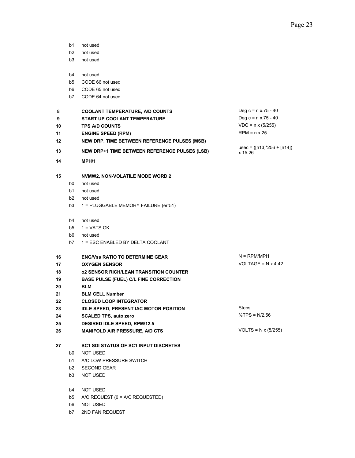- b1 not used
- b2 not used
- b3 not used
- b4 not used
- b5 CODE 66 not used
- b6 CODE 65 not used
- b7 CODE 64 not used

| 8        |                | <b>COOLANT TEMPERATURE, A/D COUNTS</b>                                                               | Deg c = $n \times 75 - 40$<br>Deg c = $n \times 75 - 40$ |
|----------|----------------|------------------------------------------------------------------------------------------------------|----------------------------------------------------------|
| 9        |                | START UP COOLANT TEMPERATURE                                                                         | $VDC = n \times (5/255)$                                 |
| 10       |                | <b>TPS A/D COUNTS</b>                                                                                | $RPM = n \times 25$                                      |
| 11       |                | <b>ENGINE SPEED (RPM)</b>                                                                            |                                                          |
| 12<br>13 |                | NEW DRP, TIME BETWEEN REFERENCE PULSES (MSB)<br><b>NEW DRP+1 TIME BETWEEN REFERENCE PULSES (LSB)</b> | usec = $([n13]^*256 + [n14])$<br>x 15.26                 |
| 14       |                | MPH/1                                                                                                |                                                          |
| 15       |                | <b>NVMW2, NON-VOLATILE MODE WORD 2</b>                                                               |                                                          |
|          | b0             | not used                                                                                             |                                                          |
|          | b1             | not used                                                                                             |                                                          |
|          | b <sub>2</sub> | not used                                                                                             |                                                          |
|          | b <sub>3</sub> | 1 = PLUGGABLE MEMORY FAILURE (err51)                                                                 |                                                          |
|          |                |                                                                                                      |                                                          |
|          | b4             | not used                                                                                             |                                                          |
|          | b5             | $1 = VATS OK$                                                                                        |                                                          |
|          | b6             | not used                                                                                             |                                                          |
|          | b7             | 1 = ESC ENABLED BY DELTA COOLANT                                                                     |                                                          |
| 16       |                | <b>ENG/Vss RATIO TO DETERMINE GEAR</b>                                                               | $N = RPM/MPH$                                            |
| 17       |                | <b>OXYGEN SENSOR</b>                                                                                 | VOLTAGE = $N \times 4.42$                                |
| 18       |                | <b>02 SENSOR RICH/LEAN TRANSITION COUNTER</b>                                                        |                                                          |
| 19       |                | <b>BASE PULSE (FUEL) C/L FINE CORRECTION</b>                                                         |                                                          |
| 20       |                | <b>BLM</b>                                                                                           |                                                          |
| 21       |                | <b>BLM CELL Number</b>                                                                               |                                                          |
| 22       |                | <b>CLOSED LOOP INTEGRATOR</b>                                                                        |                                                          |
| 23       |                | <b>IDLE SPEED, PRESENT IAC MOTOR POSITION</b>                                                        | Steps                                                    |
| 24       |                | <b>SCALED TPS, auto zero</b>                                                                         | %TPS = $N/2.56$                                          |
| 25       |                | <b>DESIRED IDLE SPEED, RPM/12.5</b>                                                                  |                                                          |
| 26       |                | <b>MANIFOLD AIR PRESSURE, A/D CTS</b>                                                                | $VOLTS = N \times (5/255)$                               |
| 27       |                | <b>SC1 SDI STATUS OF SC1 INPUT DISCRETES</b>                                                         |                                                          |
|          | b0             | <b>NOT USED</b>                                                                                      |                                                          |
|          | b1             | A/C LOW PRESSURE SWITCH                                                                              |                                                          |
|          | b <sub>2</sub> | <b>SECOND GEAR</b>                                                                                   |                                                          |
|          | b3             | <b>NOT USED</b>                                                                                      |                                                          |
|          | b4             | <b>NOT USED</b>                                                                                      |                                                          |

- b5 A/C REQUEST (0 = A/C REQUESTED)
- b6 NOT USED
- b7 2ND FAN REQUEST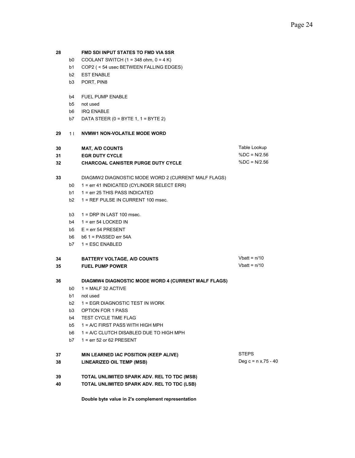#### **28 FMD SDI INPUT STATES TO FMD VIA SSR**

- b0 COOLANT SWITCH (1 = 348 ohm,  $0 = 4 K$ )
- b1 COP2 ( < 54 usec BETWEEN FALLING EDGES)
- b2 EST ENABLE
- b3 PORT, PIN8
- b4 FUEL PUMP ENABLE
- b5 not used
- b6 IRQ ENABLE
- b7 DATA STEER  $(0 = BYTE 1, 1 = BYTE 2)$

#### **29** 1 l **NVMW1 NON-VOLATILE MODE WORD**

| 30 | <b>MAT. A/D COUNTS</b>                    | Table Lookup |
|----|-------------------------------------------|--------------|
| 31 | <b>EGR DUTY CYCLE</b>                     | %DC = N/2.56 |
| 32 | <b>CHARCOAL CANISTER PURGE DUTY CYCLE</b> | %DC = N/2.56 |

## **33** DIAGMW2 DIAGNOSTIC MODE WORD 2 (CURRENT MALF FLAGS)

- b0 1 = err 41 INDICATED (CYLINDER SELECT ERR)
- b1 1 = err 25 THIS PASS INDICATED
- b2 1 = REF PULSE IN CURRENT 100 msec.
- b3 1 = DRP IN LAST 100 msec.
- $b4$  1 = err 54 LOCKED IN
- b5 E = err 54 PRESENT
- b6 b6 1 = PASSED err 54A
- b7 1 = ESC ENABLED

### **34** BATTERY VOLTAGE, A/D COUNTS Vbatt = n/10 **35 FUEL PUMP POWER** Vbatt = n/10

#### **36 DIAGMW4 DIAGNOSTIC MODE WORD 4 (CURRENT MALF FLAGS)**

- b0  $1 = \text{MALF} 32 \text{ ACTIVE}$
- b1 not used
- b2 1 = EGR DIAGNOSTIC TEST IN WORK
- b3 OPTION FOR 1 PASS
- b4 TEST CYCLE TIME FLAG
- b5 1 = A/C FIRST PASS WITH HIGH MPH
- b6 1 = A/C CLUTCH DISABLED DUE TO HIGH MPH
- b7 1 = err 52 or 62 PRESENT

## **37 MIN LEARNED IAC POSITION (KEEP ALIVE)** STEPS

- **38 LINEARIZED OIL TEMP (MSB) Deg c = n x.75 40**
- **39 TOTAL UNLIMITED SPARK ADV. REL TO TDC (MSB)**
- **TOTAL UNLIMITED SPARK ADV. REL TO TDC (LSB) 40**

**Double byte value in 2's complement representation**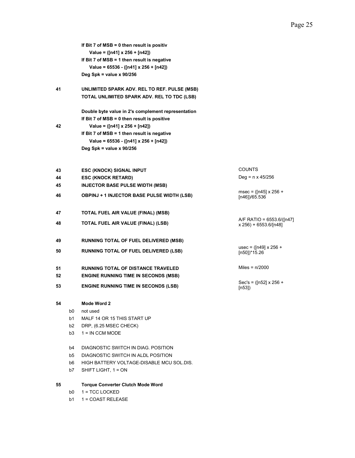|    |    | If Bit 7 of MSB = 0 then result is positiv         |                                                    |
|----|----|----------------------------------------------------|----------------------------------------------------|
|    |    | Value = $([n41] \times 256 + [n42])$               |                                                    |
|    |    | If Bit 7 of $MSB = 1$ then result is negative      |                                                    |
|    |    | Value = 65536 - ([n41] x 256 + [n42])              |                                                    |
|    |    | Deg Spk = value x $90/256$                         |                                                    |
| 41 |    | UNLIMITED SPARK ADV. REL TO REF. PULSE (MSB)       |                                                    |
|    |    | TOTAL UNLIMITED SPARK ADV. REL TO TDC (LSB)        |                                                    |
|    |    | Double byte value in 2's complement representation |                                                    |
|    |    | If Bit 7 of MSB = 0 then result is positive        |                                                    |
| 42 |    | Value = $([n41] \times 256 + [n42])$               |                                                    |
|    |    | If Bit 7 of $MSB = 1$ then result is negative      |                                                    |
|    |    | Value = $65536 - ([n41] \times 256 + [n42])$       |                                                    |
|    |    | Deg Spk = value $x$ 90/256                         |                                                    |
|    |    |                                                    |                                                    |
| 43 |    | <b>ESC (KNOCK) SIGNAL INPUT</b>                    | <b>COUNTS</b>                                      |
| 44 |    | <b>ESC (KNOCK RETARD)</b>                          | Deg = $n \times 45/256$                            |
| 45 |    | <b>INJECTOR BASE PULSE WIDTH (MSB)</b>             |                                                    |
| 46 |    | <b>OBPINJ + 1 INJECTOR BASE PULSE WIDTH (LSB)</b>  | msec = $([n45] \times 256 +$<br>[n46]/65.536       |
| 47 |    | TOTAL FUEL AIR VALUE (FINAL) (MSB)                 |                                                    |
| 48 |    | TOTAL FUEL AIR VALUE (FINAL) (LSB)                 | A/F RATIO = 6553.6/([n47]<br>x 256) + 6553.6/[n48] |
| 49 |    | <b>RUNNING TOTAL OF FUEL DELIVERED (MSB)</b>       |                                                    |
| 50 |    | RUNNING TOTAL OF FUEL DELIVERED (LSB)              | usec = $([n49] \times 256 +$<br>[n50])*15.26       |
| 51 |    | <b>RUNNING TOTAL OF DISTANCE TRAVELED</b>          | Miles = $n/2000$                                   |
| 52 |    | <b>ENGINE RUNNING TIME IN SECONDS (MSB)</b>        |                                                    |
| 53 |    | <b>ENGINE RUNNING TIME IN SECONDS (LSB)</b>        | Sec's = $([n52] \times 256 +$<br>[ $n53$ ])        |
| 54 |    | Mode Word 2                                        |                                                    |
|    | b0 | not used                                           |                                                    |
|    | b1 | MALF 14 OR 15 THIS START UP                        |                                                    |
|    | b2 | DRP, (6.25 MSEC CHECK)                             |                                                    |
|    | b3 | $1 = IN CCM MODE$                                  |                                                    |
|    | b4 | DIAGNOSTIC SWITCH IN DIAG. POSITION                |                                                    |
|    | b5 | DIAGNOSTIC SWITCH IN ALDL POSITION                 |                                                    |
|    | b6 | HIGH BATTERY VOLTAGE-DISABLE MCU SOL.DIS.          |                                                    |
|    | b7 | SHIFT LIGHT, 1 = ON                                |                                                    |
| 55 |    | <b>Torque Converter Clutch Mode Word</b>           |                                                    |
|    | b0 | 1 = TCC LOCKED                                     |                                                    |

b1 1 = COAST RELEASE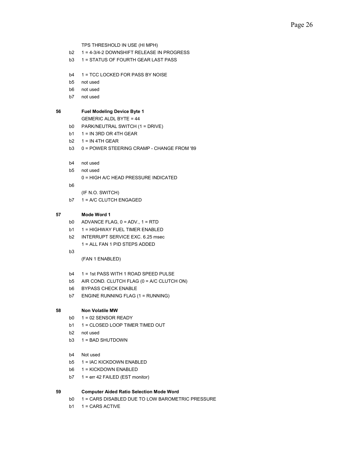TPS THRESHOLD IN USE (HI MPH)

- b2 1 = 4-3/4-2 DOWNSHIFT RELEASE IN PROGRESS
- b3 1 = STATUS OF FOURTH GEAR LAST PASS
- b4 1 = TCC LOCKED FOR PASS BY NOISE
- b5 not used
- b6 not used
- b7 not used

### **56 Fuel Modeling Device Byte 1**

GEMERIC ALDL BYTE = 44

- b0 PARK/NEUTRAL SWITCH (1 = DRIVE)
- b1  $1 = IN$  3RD OR 4TH GEAR
- b2  $1 = IN$  4TH GEAR
- b3 0 = POWER STEERING CRAMP CHANGE FROM '89
- b4 not used
- b5 not used 0 = HIGH A/C HEAD PRESSURE INDICATED
- b6

(IF N.O. SWITCH)

b7 1 = A/C CLUTCH ENGAGED

## **57 Mode Word 1**

- b0 ADVANCE FLAG, 0 = ADV., 1 = RTD
- b1 1 = HIGHWAY FUEL TIMER ENABLED
- b2 INTERRUPT SERVICE EXC. 6.25 msec
	- 1 = ALL FAN 1 PID STEPS ADDED
- b3

(FAN 1 ENABLED)

- b4 1 = 1st PASS WITH 1 ROAD SPEED PULSE
- b5 AIR COND. CLUTCH FLAG (0 = A/C CLUTCH ON)
- b6 BYPASS CHECK ENABLE
- b7 ENGINE RUNNING FLAG (1 = RUNNING)

#### **58 Non Volatile MW**

- $b0 \t1 = 02$  SENSOR READY
- b1 1 = CLOSED LOOP TIMER TIMED OUT
- b2 not used
- b3 1 = BAD SHUTDOWN
- b4 Not used
- b5 1 = IAC KICKDOWN ENABLED
- b6 1 = KICKDOWN ENABLED
- b7 1 = err 42 FAILED (EST monitor)

#### **59 Computer Aided Ratio Selection Mode Word**

- b0 1 = CARS DISABLED DUE TO LOW BAROMETRIC PRESSURE
- b1 1 = CARS ACTIVE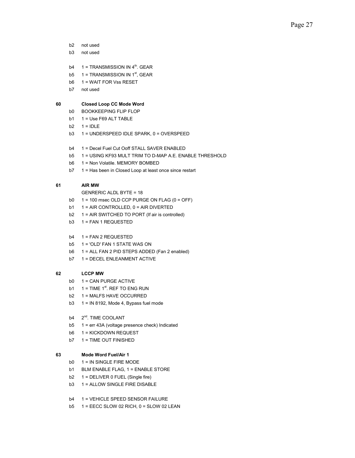- b2 not used
- b3 not used
- b4  $1 = TRANSMISSION IN 4<sup>th</sup>$ . GEAR
- b5  $1 = TRANSMISSION IN 1<sup>st</sup>, GEAR$
- b6 1 = WAIT FOR Vss RESET
- b7 not used

#### **60 Closed Loop CC Mode Word**

- b0 BOOKKEEPING FLIP FLOP
- b1 1 = Use F69 ALT TABLE
- $b2 \t1 = IDLE$
- b3 1 = UNDERSPEED IDLE SPARK, 0 = OVERSPEED
- b4 1 = Decel Fuel Cut Ooff STALL SAVER ENABLED
- b5 1 = USING KF93 MULT TRIM TO D-MAP A.E. ENABLE THRESHOLD
- b6 1 = Non Volatile. MEMORY BOMBED
- b7 1 = Has been in Closed Loop at least once since restart

### **61 AIR MW**

GENRERIC ALDL BYTE = 18

- b0  $1 = 100$  msec OLD CCP PURGE ON FLAG ( $0 =$  OFF)
- b1 1 = AIR CONTROLLED, 0 = AIR DIVERTED
- b2 1 = AIR SWITCHED TO PORT (If air is controlled)
- b3 1 = FAN 1 REQUESTED

#### b4 1 = FAN 2 REQUESTED

- b5 1 = 'OLD' FAN 1 STATE WAS ON
- b6 1 = ALL FAN 2 PID STEPS ADDED (Fan 2 enabled)
- b7 1 = DECEL ENLEANMENT ACTIVE

## **62 LCCP MW**

- b0 1 = CAN PURGE ACTIVE
- b1  $1 =$  TIME 1<sup>st</sup>. REF TO ENG RUN
- b2 1 = MALFS HAVE OCCURRED
- b3  $1 = IN 8192$ , Mode 4, Bypass fuel mode
- b4 2<sup>nd</sup>. TIME COOLANT
- b5 1 = err 43A (voltage presence check) Indicated
- b6 1 = KICKDOWN REQUEST
- b7 1 = TIME OUT FINISHED

#### **63 Mode Word Fuel/Air 1**

- b0 1 = IN SINGLE FIRE MODE
- b1 BLM ENABLE FLAG, 1 = ENABLE STORE
- $b2 \t1 = DELIVER 0 FUEL (Single fire)$
- b3 1 = ALLOW SINGLE FIRE DISABLE
- b4 1 = VEHICLE SPEED SENSOR FAILURE
- b5 1 = EECC SLOW 02 RICH, 0 = SLOW 02 LEAN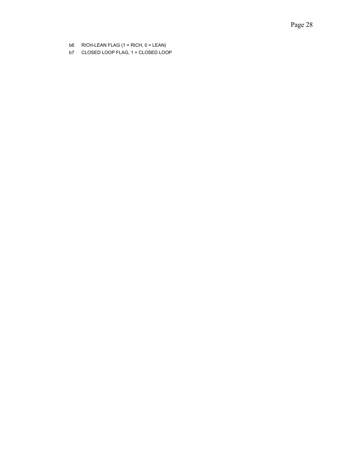- b6 RICH-LEAN FLAG (1 = RICH, 0 = LEAN)
- b7 CLOSED LOOP FLAG, 1 = CLOSED LOOP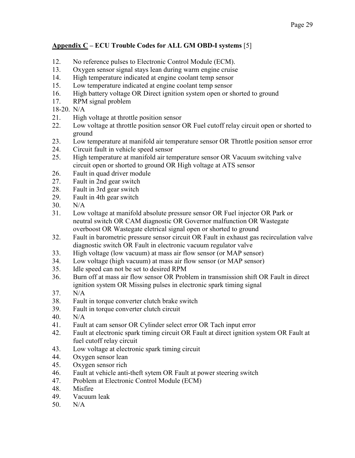# **Appendix C – ECU Trouble Codes for ALL GM OBD-I systems** [5]

- 12. No reference pulses to Electronic Control Module (ECM).
- 13. Oxygen sensor signal stays lean during warm engine cruise
- 14. High temperature indicated at engine coolant temp sensor
- 15. Low temperature indicated at engine coolant temp sensor
- 16. High battery voltage OR Direct ignition system open or shorted to ground
- 17. RPM signal problem

18-20. N/A

- 21. High voltage at throttle position sensor
- 22. Low voltage at throttle position sensor OR Fuel cutoff relay circuit open or shorted to ground
- 23. Low temperature at manifold air temperature sensor OR Throttle position sensor error
- 24. Circuit fault in vehicle speed sensor
- 25. High temperature at manifold air temperature sensor OR Vacuum switching valve circuit open or shorted to ground OR High voltage at ATS sensor
- 26. Fault in quad driver module
- 27. Fault in 2nd gear switch
- 28. Fault in 3rd gear switch
- 29. Fault in 4th gear switch
- 30. N/A
- 31. Low voltage at manifold absolute pressure sensor OR Fuel injector OR Park or neutral switch OR CAM diagnostic OR Governor malfunction OR Wastegate overboost OR Wastegate eletrical signal open or shorted to ground
- 32. Fault in barometric pressure sensor circuit OR Fault in exhaust gas recirculation valve diagnostic switch OR Fault in electronic vacuum regulator valve
- 33. High voltage (low vacuum) at mass air flow sensor (or MAP sensor)
- 34. Low voltage (high vacuum) at mass air flow sensor (or MAP sensor)
- 35. Idle speed can not be set to desired RPM
- 36. Burn off at mass air flow sensor OR Problem in transmission shift OR Fault in direct ignition system OR Missing pulses in electronic spark timing signal
- 37. N/A
- 38. Fault in torque converter clutch brake switch
- 39. Fault in torque converter clutch circuit
- 40. N/A
- 41. Fault at cam sensor OR Cylinder select error OR Tach input error
- 42. Fault at electronic spark timing circuit OR Fault at direct ignition system OR Fault at fuel cutoff relay circuit
- 43. Low voltage at electronic spark timing circuit
- 44. Oxygen sensor lean
- 45. Oxygen sensor rich
- 46. Fault at vehicle anti-theft sytem OR Fault at power steering switch
- 47. Problem at Electronic Control Module (ECM)
- 48. Misfire
- 49. Vacuum leak
- 50. N/A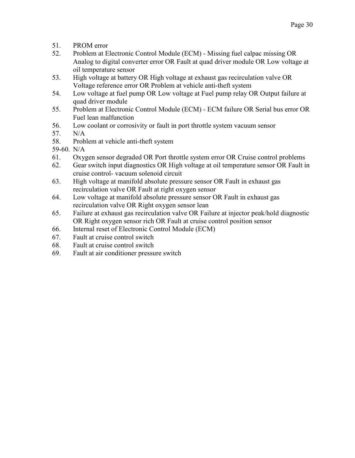- 51. PROM error
- 52. Problem at Electronic Control Module (ECM) Missing fuel calpac missing OR Analog to digital converter error OR Fault at quad driver module OR Low voltage at oil temperature sensor
- 53. High voltage at battery OR High voltage at exhaust gas recirculation valve OR Voltage reference error OR Problem at vehicle anti-theft system
- 54. Low voltage at fuel pump OR Low voltage at Fuel pump relay OR Output failure at quad driver module
- 55. Problem at Electronic Control Module (ECM) ECM failure OR Serial bus error OR Fuel lean malfunction
- 56. Low coolant or corrosivity or fault in port throttle system vacuum sensor
- 57. N/A
- 58. Problem at vehicle anti-theft system
- 59-60. N/A
- 61. Oxygen sensor degraded OR Port throttle system error OR Cruise control problems
- 62. Gear switch input diagnostics OR High voltage at oil temperature sensor OR Fault in cruise control- vacuum solenoid circuit
- 63. High voltage at manifold absolute pressure sensor OR Fault in exhaust gas recirculation valve OR Fault at right oxygen sensor
- 64. Low voltage at manifold absolute pressure sensor OR Fault in exhaust gas recirculation valve OR Right oxygen sensor lean
- 65. Failure at exhaust gas recirculation valve OR Failure at injector peak/hold diagnostic OR Right oxygen sensor rich OR Fault at cruise control position sensor
- 66. Internal reset of Electronic Control Module (ECM)
- 67. Fault at cruise control switch
- 68. Fault at cruise control switch
- 69. Fault at air conditioner pressure switch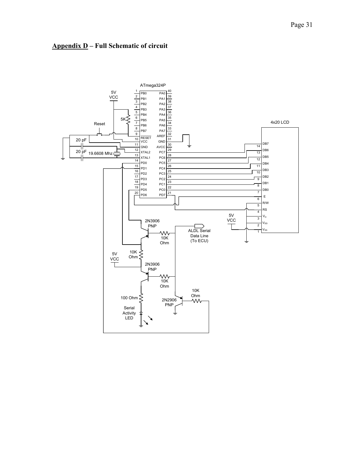

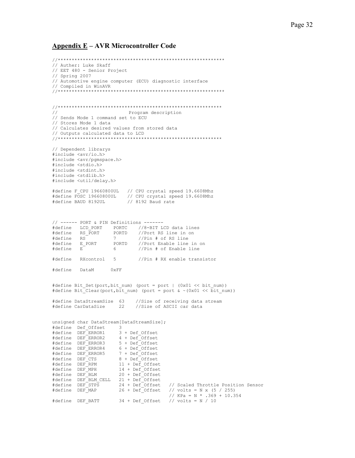## **Appendix E – AVR Microcontroller Code**

```
//************************************************************ 
// Auther: Luke Skaff 
// EET 480 - Senior Project 
// Spring 2007 
// Automotive engine computer (ECU) diagnostic interface 
// Compiled in WinAVR 
//************************************************************ 
//*********************************************************** 
// Program description 
// Sends Mode 1 command set to ECU 
// Stores Mode 1 data 
// Calculates desired values from stored data 
// Outputs calculated data to LCD 
//*********************************************************** 
// Dependent librarys 
#include <avr/io.h> 
#include <avr/pgmspace.h> 
#include <stdio.h> 
#include <stdint.h> 
#include <stdlib.h> 
#include <util/delay.h> 
#define F_CPU 19660800UL // CPU crystal speed 19.6608Mhz 
#define FOSC 19660800UL // CPU crystal speed 19.6608Mhz 
#define BAUD 8192UL // 8192 Baud rate 
// ------ PORT & PIN Definitions ------- 
#define LCD_PORT PORTC //8-BIT LCD data lines 
#define RS PORT PORTD //Port RS line in on
#define RS 7 //Pin # of RS line 
#define E_PORT PORTD //Port Enable line in on 
#define E 6 //Pin # of Enable line 
#define RXcontrol 5 //Pin # RX enable transistor 
#define DataM 0xFF 
#define Bit Set(port,bit num) (port = port | (0x01 << bit num))
#define Bit Clear(port, bit num) (port = port & ~(0x01 << bit num))
#define DataStreamSize 63 //Size of receiving data stream 
#define CarDataSize 22 //Size of ASCII car data 
unsigned char DataStream[DataStreamSize]; 
#define Def_Offset 3 
#define DEF_ERROR1 3 + Def_Offset 
#define DEF_ERROR2 4 + Def_Offset 
#define DEF_ERROR3 5 + Def_Offset 
#define DEF_ERROR4 6 + Def_Offset 
#define DEF_ERROR5 7 + Def_Offset 
#define DEF_CTS 8 + Def_Offset 
#define DEF_RPM 11 + Def_Offset 
#define DEF_MPH 14 + Def_Offset 
#define DEF_BLM 20 + Def_Offset 
#define DEF_BLM_CELL 21 + Def_Offset 
#define DEF_STPS 24 + Def_Offset // Scaled Throttle Position Sensor 
#define DEF_MAP 26 + Def_Offset // volts = N x (5 / 255) 
                                      // KPa = N * .369 + 10.354
#define DEF BATT 34 + Def Offset // volts = N / 10
```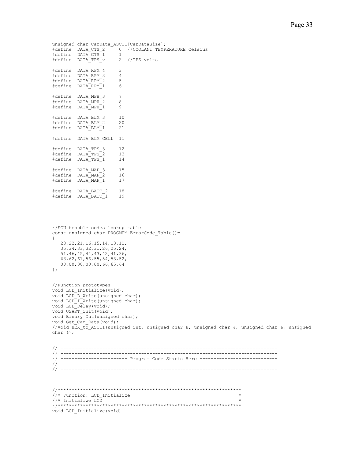```
unsigned char CarData ASCII[CarDataSize];
#define DATA_CTS_2 0 //COOLANT TEMPERATURE Celsius 
#define DATA_CTS_1 1 
#define DATA_TPS_v 2 //TPS volts 
#define DATA_RPM_4 3 
#define DATA_RPM_3 4 
#define DATA_RPM_2 5 
#define DATA_RPM_1 6 
#define DATA_MPH_3 7 
#define DATA_MPH_2 8<br>#define DATA_MPH_1 9
#define DATA_MPH_1 9 
#define DATA_BLM_3 10<br>#define DATA_BLM_2 20
#define DATA_BLM_2 20 
#define DATA_BLM_1 21 
#define DATA_BLM_CELL 11 
#define DATA_TPS_3 12 
#define DATA_TPS_2 13 
#define DATA_TPS_1 14 
#define DATA_MAP_3 15 
#define DATA_MAP_2 16 
#define DATA_MAP_1 17 
#define DATA_BATT_2 18 
#define DATA_BATT_1 19
```

```
//ECU trouble codes lookup table 
const unsigned char PROGMEM ErrorCode_Table[]= 
{ 
    23,22,21,16,15,14,13,12, 
    35,34,33,32,31,26,25,24, 
    51,46,45,44,43,42,41,36, 
    63,62,61,56,55,54,53,52, 
    00,00,00,00,00,66,65,64 
};
```

```
//Function prototypes 
void LCD Initialize(void);
void LCD D Write(unsigned char);
void LCD I Write (unsigned char);
void LCD_Delay(void); 
void USART_init(void); 
void Binary Out (unsigned char);
void Get Car Data(void);
//void HEX_to_ASCII(unsigned int, unsigned char &, unsigned char &, unsigned char &, unsigned 
char &);
```

```
// ------------------------------------------------------------------------------ 
// ------------------------------------------------------------------------------ 
// ----------------------- Program Code Starts Here ----------------------------
// ------------------------------------------------------------------------------ 
// ------------------------------------------------------------------------------
```

| //* Function: LCD Initialize |  |
|------------------------------|--|
| //* Initialize LCD           |  |
|                              |  |
| void LCD Initialize (void)   |  |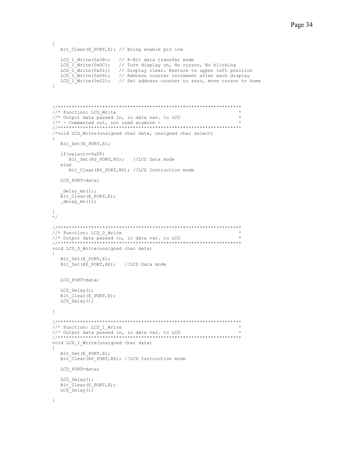```
{ 
   Bit Clear(E_PORT,E); // Bring enable pin low
  LCD I Write(0x38); // 8-Bit data transfer mode
  LCD_1_Write(0x0C); // Turn display on, No cursor, No blinking
LCD_I_Write(0x01); // Display clear, Restore to upper left position
LCD_I_Write(0x06); // Address counter increment after each display
LCD I Write(0x02); // Set address counter to zero, move cursor to home
} 
//****************************************************************** 
\frac{1}{x} Function: LCD_Write \frac{x}{x}<br>\frac{1}{x} Output data passed in indita war, to LCD
//* Output data passed in, in data var. to LCD
\frac{1}{*} - Commented out, not used anymore -
//****************************************************************** 
/*void LCD_Write(unsigned char data, unsigned char select) 
{ 
   Bit Set(E_PORT,E);
    if(select==0xFF) 
       Bit_Set(RS_PORT,RS); //LCD Data mode 
    else 
      Bit Clear(RS PORT, RS); //LCD Instruction mode
   LCD PORT=data;
    \text{delay}ms(1);Bit Clear(E_PORT,E);
   \overline{\text{delay} \text{ms}(1)};
} 
\star /
//****************************************************************** 
//* Function: LCD_D_Write * 
//* Output data passed in, in data var. to LCD * 
                  //****************************************************************** 
void LCD_D_Write(unsigned char data) 
{ 
   Bit Set(E_PORT,E);
   Bit_Set(RS_PORT, RS); //LCD Data mode
    LCD_PORT=data; 
   LCD Delay();
   Bit_Clear(E_PORT,E);
   LCD Delay();
} 
//****************************************************************** 
//* Function: LCD I Write
//* Output data passed in, in data var. to LCD * 
                            //****************************************************************** 
void LCD_I_Write(unsigned char data) 
{ 
    Bit_Set(E_PORT,E); 
    Bit_Clear(RS_PORT,RS); //LCD Instruction mode 
   LCD PORT=data;
   LCD Delay();
    Bit_Clear(E_PORT,E); 
    LCD_Delay();
```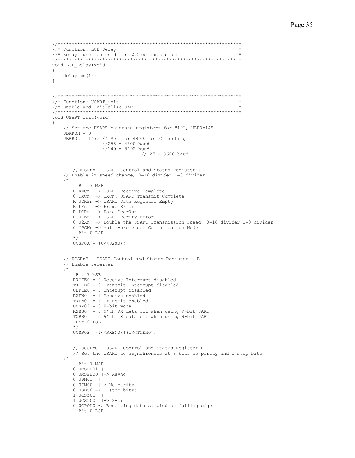```
//****************************************************************** 
//* Function: LCD_Delay * 
//* Relay function used for LCD communication * 
                    //****************************************************************** 
void LCD_Delay(void) 
{ 
  _{\text{delay} \text{ms}(1)};
} 
//****************************************************************** 
//* Function: USART_init
//* Enable and Initialize UART
//****************************************************************** 
void USART_init(void) 
{ 
     // Set the USART baudrate registers for 8192, UBRR=149 
    UBR0H = 0;UBRR0L = 149; // Set for 4800 for PC testing
                   //255 = 4800 baud
                   //149 = 8192 buad
                                 1/127 = 9600 baud
        //UCSRnA - USART Control and Status Register A 
     // Enable 2x speed change, 0=16 divider 1=8 divider 
/ *
          Bit 7 MSB 
        R RXCn -> USART Receive Complete 
        0 TXCn -> TXCn: USART Transmit Complete 
        R UDREn -> USART Data Register Empty 
        R FEn -> Frame Error 
        R DORn -> Data OverRun 
        R UPEn -> USART Parity Error 
        0 U2Xn -> Double the USART Transmission Speed, 0=16 divider 1=8 divider 
        0 MPCMn -> Multi-processor Communication Mode 
          Bit 0 LSB 
         */ 
       UCSROA = (0<<U2X0); // UCSRnB - USART Control and Status Register n B 
     // Enable receiver 
     /* 
         Bit 7 MSB 
        RXCIE0 = 0 Receive Interrupt disabled 
        TXCIE0 = 0 Transmit Interrupt disabled 
        UDRIE0 = 0 Interupt disabled 
        RXEN0 = 1 Receive enabled 
        TXEN0 = 1 Transmit enabled 
       UCS202 = 0 8-bit mode RXB80 = 0 9'th RX data bit when using 9-bit UART 
        TXB80 = 0 9'th TX data bit when using 9-bit UART 
         Bit 0 LSB 
         */ 
       UCSR0B = (1<<RXEN0) | (1<<TXEN0); // UCSRnC - USART Control and Status Register n C 
        // Set the USART to asynchronous at 8 bits no parity and 1 stop bits 
     /* 
          Bit 7 MSB 
        0 UMSEL01 | 
        0 UMSEL00 |-> Async 
        0 UPM01 | 
 0 UPM00 |-> No parity 
0 USBS0 -> 1 stop bits;
        1 UCSZ01 | 
        1 UCSZ00 |-> 8-bit 
        0 UCPOL0 -> Receiving data sampled on falling edge
          Bit 0 LSB
```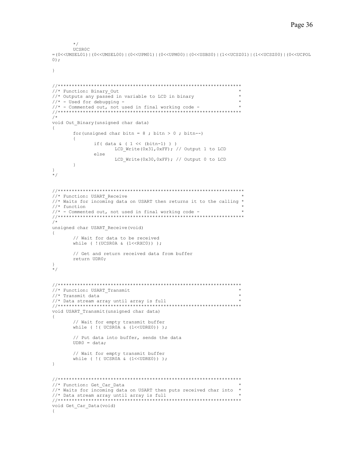```
 */ 
        UCSR0C 
=(0<<UMSEL01)|(0<<UMSEL00)|(0<<UPM01)|(0<<UPM00)|(0<<USBS0)|(1<<UCSZ01)|(1<<UCSZ00)|(0<<UCPOL
0); 
} 
//****************************************************************** 
//* Function: Binary Out
//* Outputs any passed in variable to LCD in binary
//* - Used for debugging -//* - Commented out, not used in final working code -
//****************************************************************** 
/* 
void Out_Binary(unsigned char data) 
{ 
       for(unsigned char bitn = 8; bitn > 0; bitn --)
\left\{ \begin{array}{cc} 0 & 0 \\ 0 & 0 \end{array} \right\}if( data \& ( 1 \le \& (bitn-1) ) )
                        LCD_Write(0x31,0xFF); // Output 1 to LCD 
                else 
                       LCD Write(0x30,0xFF); // Output 0 to LCD
         } 
} 
*/ 
//******************************************************************* 
//* Function: USART_Receive
//* Waits for incoming data on USART then returns it to the calling * 
//* function
//* - Commented out, not used in final working code -
//******************************************************************* 
/* 
unsigned char USART_Receive(void) 
{ 
         // Wait for data to be received 
       while ( !(UCSR0A & (1<<RXC0)) );
        // Get and return received data from buffer 
        return UDR0; 
} 
*/ 
//****************************************************************** 
//* Function: USART Transmit
\frac{1}{4} Transmit data
1/* Data stream array until array is full
//****************************************************************** 
void USART_Transmit(unsigned char data) 
{ 
        // Wait for empty transmit buffer 
       while ( ! ( UCSROA & (1<<UDRE0)) );
        // Put data into buffer, sends the data 
        UDR0 = data; 
        // Wait for empty transmit buffer 
       while ( ! ( UCSROA & (1<<UDRE0)) );
} 
//****************************************************************** 
//* Function: Get Car Data
//* Waits for incoming data on USART then puts received char into * 
//* Data stream array until array is full
//****************************************************************** 
void Get_Car_Data(void)
```
{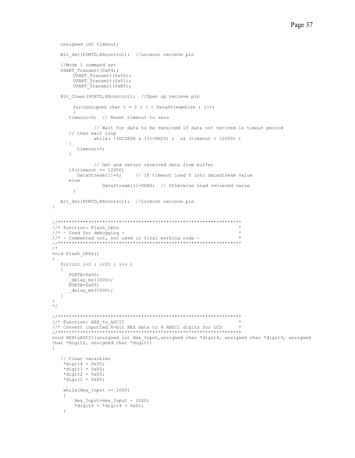```
 unsigned int timeout; 
   Bit Set(PORTD, RXcontrol); //Lockout recieve pin
    //Mode 1 command set 
    USART_Transmit(0xF4); 
         USART_Transmit(0x56); 
         USART_Transmit(0x01); 
         USART_Transmit(0xB5); 
   Bit Clear(PORTD, RXcontrol); //Open up recieve pin
        for(unsigned char i = 0; i < DataStreamSize; i+1\{ timeout=0; // Reset timeout to zero 
                 // Wait for data to be received if data not recived in timout period 
       // then exit loop 
                while( !(UCSR0A & (1<<RXC0) ) && (timeout < 12000) ) 
       { 
          timeout++; 
       } 
                 // Get and return received data from buffer 
      if(timeout == 12000)<br>DataStream[i]=0;
                                // If timeout load 0 into datastream value
       else 
                    DataStream[i]=UDR0; // Otherwise load recieved value 
         } 
   Bit Set(PORTD, RXcontrol); //Lockout recieve pin
} 
//****************************************************************** 
//* Function: Flash LEDs
//* - Used for debugging -//* - Commented out, not used in final working code -
//****************************************************************** 
/* 
void Flash_LEDs() 
{ 
    for(int i=0 ; i<20 ; i++ ) 
    { 
       PORTA=0x00; 
       delayms(1000);\overline{P}ORTA=\overline{0}xFF;
     \angledelay\anglems(1000);
    } 
} 
*/ 
//****************************************************************** 
//* Function: HEX to ASCII
//* Convert inputted 8-bit HEX data to 4 ANSII digits for LCD * 
//****************************************************************** 
void HEXtoASCII(unsigned int Hex_Input,unsigned char *digit4, unsigned char *digit3, unsigned 
char *digit2, unsigned char *digit1) 
{ 
    // Clear varaibles 
\stardigit4 = 0 \times 00;
\stardigit3 = 0x00;
    \stardigit2 = 0x00;
    *digit1 = 0x00;
    while(Hex Input >= 1000)
     { 
         Hex_Input=Hex_Input - 1000; 
        *digit4 = *digit4 + 0 \times 01;
     }
```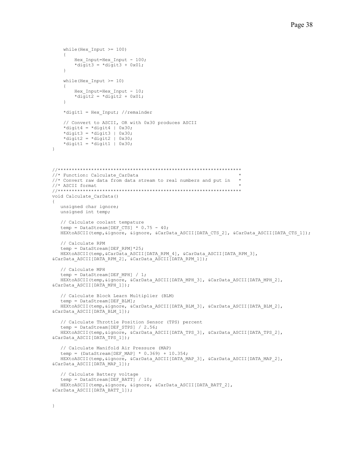```
while(Hex Input >= 100)
      { 
         Hex Input=Hex Input - 100;
         *digit3 = *digit3 + 0 \times 01;
     } 
    while(Hex Input >= 10)
     { 
         Hex Input=Hex Input - 10;
         *digit2 = *digit2 + 0 \times 01;
     } 
     *digit1 = Hex_Input; //remainder 
     // Convert to ASCII, OR with 0x30 produces ASCII 
    *digit4 = *digit4 | 0x30;
    *digit3 = *digit3 | 0x30;
    *digit2 = *digit2 | 0x30;
    *digit1 = *digit1 | 0x30;
} 
//****************************************************************** 
//* Function: Calculate CarData
//* Convert raw data from data stream to real numbers and put in //* ASCII format
\frac{1}{2} //* ASCII format \frac{1}{2} \frac{1}{2} \frac{1}{2} \frac{1}{2} \frac{1}{2} \frac{1}{2} \frac{1}{2} \frac{1}{2} \frac{1}{2} \frac{1}{2} \frac{1}{2} \frac{1}{2} \frac{1}{2} \frac{1}{2} \frac{1}{2} \frac{1}{2} \frac{1}{2} \frac{1}{2} \frac{1}{2} \frac{//****************************************************************** 
void Calculate_CarData() 
{ 
    unsigned char ignore; 
    unsigned int temp; 
    // Calculate coolant tempature 
   temp = DataStream[DEF CTS] * 0.75 - 40;
   HEXtoASCII(temp, &ignore, &ignore, &CarData ASCII[DATA CTS 2], &CarData ASCII[DATA CTS 1]);
    // Calculate RPM 
   temp = DataStream[DEF_RPM]*25;
   HEXtoASCII(temp, &CarData ASCII[DATA RPM 4], &CarData ASCII[DATA RPM 3],
&\texttt{CarData ASCII}[DATA RPM 2], &\texttt{CarData ASCII}[DATA RPM 1]);
    // Calculate MPH 
   temp = DataStream[DEF_MPH] / 1;
    HEXtoASCII(temp,&ignore, &CarData_ASCII[DATA_MPH_3], &CarData_ASCII[DATA_MPH_2], 
&CarData_ASCII[DATA_MPH_1]); 
    // Calculate Block Learn Multiplier (BLM) 
   temp = DataStream[DEF_BLM];
   HEXtoASCII(temp, &ignore, &CarData ASCII[DATA BLM 3], &CarData ASCII[DATA BLM 2],
&CarData_ASCII[DATA_BLM_1]); 
    // Calculate Throttle Position Sensor (TPS) percent 
    temp = DataStream[DEF_STPS] / 2.56; 
   HEXtoASCII(temp, &ignore, &CarData ASCII[DATA TPS 3], &CarData ASCII[DATA TPS 2],
&CarData_ASCII[DATA_TPS_1]); 
    // Calculate Manifold Air Pressure (MAP) 
    temp = (DataStream[DEF_MAP] * 0.369) + 10.354; 
    HEXtoASCII(temp,&ignore, &CarData_ASCII[DATA_MAP_3], &CarData_ASCII[DATA_MAP_2], 
&CarData_ASCII[DATA_MAP_1]); 
    // Calculate Battery voltage 
   temp = DataStream[DEF_BATT] / 10;
   HEXtoASCII(temp, &ignore, &ignore, &CarData ASCII[DATA BATT 2],
&CarData_ASCII[DATA_BATT_1]);
```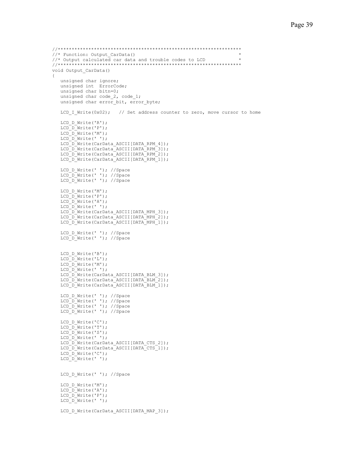```
//****************************************************************** 
//* Function: Output_CarData() * 
1/* Output calculated car data and trouble codes to LCD
//****************************************************************** 
void Output_CarData() 
{ 
    unsigned char ignore; 
    unsigned int ErrorCode; 
    unsigned char bitn=0; 
   unsigned char code 2, code 1;
    unsigned char error_bit, error_byte; 
   LCD I Write(0x02); // Set address counter to zero, move cursor to home
   LCD_D_Write('R');
   LCD \overline{D} Write('P');
   LCD_D_Write('M');
   LCD D Write(' ');
    LCD_D_Write(CarData_ASCII[DATA_RPM_4]); 
    LCD_D_Write(CarData_ASCII[DATA_RPM_3]); 
   LCD_D_Write(CarData_ASCII[DATA_RPM_2]);
    LCD_D_Write(CarData_ASCII[DATA_RPM_1]); 
   LCD D Write(' '); //Space
    LCD_D_Write(' '); //Space 
   LCD\overline{D}W\text{rite}(' '); // SpaceLCD_D_Write('M');
    LCD_D_Write('P'); 
   LCD_D_Write('H');
   LCD^-\overline{D} Write(' ');
   LCD_D_Write(CarData_ASCII[DATA_MPH_3]);
   LCD_D_Write(CarData_ASCII[DATA_MPH_2]);
    LCD_D_Write(CarData_ASCII[DATA_MPH_1]); 
   LCD_D_Write(' '); //Space
   LCD_D_Write(' '); //Space
   LCD_D_Write('B');
   LCD_D_Write('L');
   LCD_D_Write('M');
   LCD_D_Write(' ');
   LCD_D_Write(CarData_ASCII[DATA_BLM_3]);
   LCD_D_Write(CarData_ASCII[DATA_BLM_2]);
   LCD_D_Write(CarData_ASCII[DATA_BLM_1]);
 LCD_D_Write(' '); //Space 
LCD D Write(' '); //Space
   LCD D Write(' '); //Space
   LCD_D_Write(' '); //Space
   LCD D Write('C');
    LCD_D_Write('T'); 
   LCD D Write('S');
   LCD[D\overline{\hspace{-.05in}} N\hspace{-.05in}r\hspace{-.05in}i\hspace{-.05in}te\hspace{-.05in}( ' ' ) ; LCD_D_Write(CarData_ASCII[DATA_CTS_2]); 
   LCD_D_Write(CarData_ASCII[DATA_CTS_1]);
   LCD<sup>-D-</sup>Write('C');
   LCD\overline{D}W\text{rite}('');
   LCD D Write(' '); //Space
   LCD_D_Write('M');
   LCD_D_Write('A');
   LCD \overline{D} Write('P');
    LCD_D_Write(' '); 
   LCD_D_Write(CarData_ASCII[DATA_MAP_3]);
```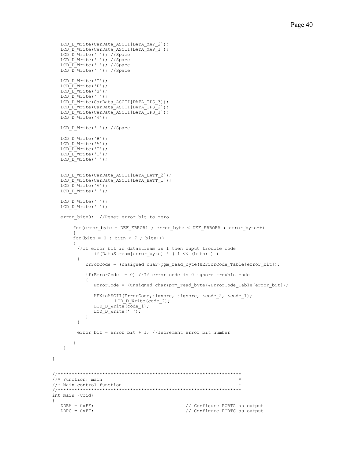```
LCD_D_Write(CarData_ASCII[DATA_MAP_2]);
    LCD_D_Write(CarData_ASCII[DATA_MAP_1]); 
LCD D Write(' '); //Space
 LCD_D_Write(' '); //Space 
  LCD D Write(' '); //Space
  LCD_D_Write(' '); //Space
  LCD_D_Write('T');
    LCD_D_Write('P'); 
   LCD_D_Write('S');
   LCD<sup>-</sup> Write(' ');
   LCD_D_Write(CarData_ASCII[DATA_TPS_3]);
   LCD_D_Write(CarData_ASCII[DATA_TPS_2]);
   LCD_D_Write(CarData_ASCII[DATA_TPS_1]);
  LCD \overline{D} Write('%');
   LCD D Write(' '); //Space
   LCD D Write('B');
   LCD_D_Write('A'); 
   LCD_D_Write('T');
   LCD \overline{D} Write('T');
  LCD[D_W^{\dagger}] write(' ');
    LCD_D_Write(CarData_ASCII[DATA_BATT_2]); 
   LCD_D_Write(CarData_ASCII[DATA_BATT_1]);
   LCD_D_Write('V');
  LCD_D_Write(' ');
   LCD D Write(' ');
   LCD[D_W\text{rite}(' ');error bit=0; //Reset error bit to zero
        for(error byte = DEF_ERROR1 ; error byte < DEF_ERROR5 ; error byte++)
\{for(bitn = 0; bitn < 7; bitn ++)
\left\{ \begin{array}{cc} 0 & 0 \\ 0 & 0 \end{array} \right\} //If error bit in datastream is 1 then ouput trouble code 
               if(DataStream[error byte] & ( 1 \ll (bitn) ) )
\{ErrorCode = (unsigned char)pgm_read_byte(&ErrorCode_Table[error_bit]);
             if(ErrorCode != 0) //If error code is 0 ignore trouble code 
\{ ErrorCode = (unsigned char)pgm_read_byte(&ErrorCode_Table[error_bit]); 
                HEXtoASCII(ErrorCode,&ignore, &ignore, &code_2, &code_1); 
                      LCD_D_Write(code_2);
               LCD D Write(code 1);
            LCD_D_Write(' ');
 } 
          } 
         error bit = error bit + 1; //Increment error bit number
        } 
     } 
//****************************************************************** 
\frac{1}{4} Function: main<br>\frac{1}{4} Main control function
//* Main control function * 
//****************************************************************** 
int main (void) 
  DDRA = 0xFF;<br>
DDRC = 0xFF;<br>
\frac{1}{\sqrt{C}} Onfigure PORTC as output
                                                   // Configure PORTC as output
```
}

{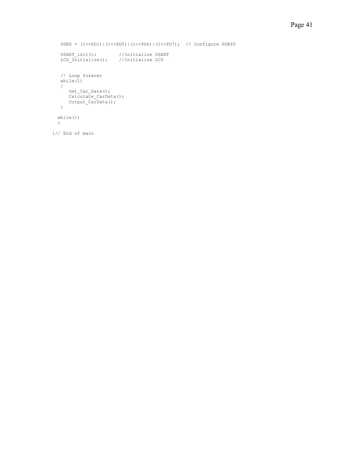```
 DDRD = (1<<PD1)|(1<<PD5)|(1<<PD6)|(1<<PD7); // Configure PORTD 
USART init(); //Initialize USART
 LCD_Initialize(); //Initialize LCD 
   // Loop forever 
   while(1) 
  \left\{ \right.Get Car Data();
Calculate CarData();
 Output_CarData(); 
   } 
  while(1) 
  ; 
}// End of main
```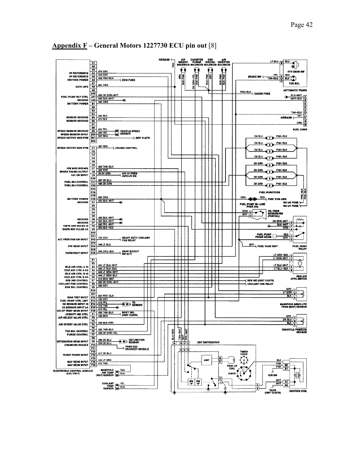

# **Appendix F – General Motors 1227730 ECU pin out** [8]